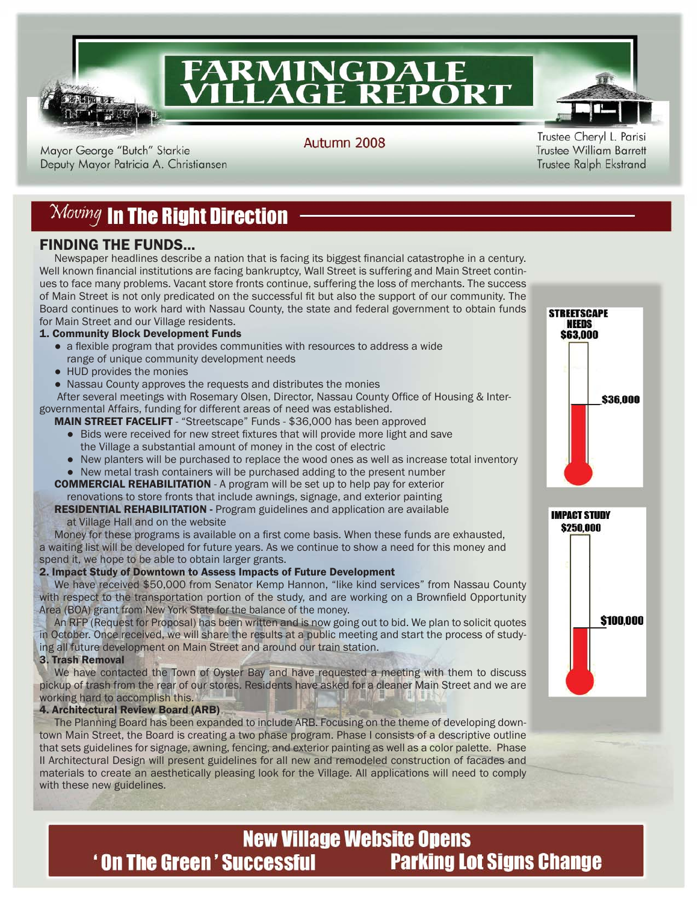

# **FARMINGDALE<br>VILLAGE REPORT**

Mayor George "Butch" Starkie Deputy Mayor Patricia A. Christiansen Autumn 2008

Trustee Cheryl L. Parisi **Trustee William Barrett** Trustee Ralph Ekstrand

### $\mathcal{M}oving$  in The Right Direction

#### FINDING THE FUNDS...

Newspaper headlines describe a nation that is facing its biggest financial catastrophe in a century. Well known financial institutions are facing bankruptcy, Wall Street is suffering and Main Street continues to face many problems. Vacant store fronts continue, suffering the loss of merchants. The success of Main Street is not only predicated on the successful fit but also the support of our community. The Board continues to work hard with Nassau County, the state and federal government to obtain funds for Main Street and our Village residents.

#### 1. Community Block Development Funds

- a flexible program that provides communities with resources to address a wide range of unique community development needs
- HUD provides the monies
- Nassau County approves the requests and distributes the monies

After several meetings with Rosemary Olsen, Director, Nassau County Office of Housing & Intergovernmental Affairs, funding for different areas of need was established.

MAIN STREET FACELIFT - "Streetscape" Funds - \$36,000 has been approved

- Bids were received for new street fixtures that will provide more light and save the Village a substantial amount of money in the cost of electric
- New planters will be purchased to replace the wood ones as well as increase total inventory ● New metal trash containers will be purchased adding to the present number

COMMERCIAL REHABILITATION - A program will be set up to help pay for exterior renovations to store fronts that include awnings, signage, and exterior painting

RESIDENTIAL REHABILITATION - Program guidelines and application are available at Village Hall and on the website

Money for these programs is available on a first come basis. When these funds are exhausted, a waiting list will be developed for future years. As we continue to show a need for this money and spend it, we hope to be able to obtain larger grants.

#### 2. Impact Study of Downtown to Assess Impacts of Future Development

 We have received \$50,000 from Senator Kemp Hannon, "like kind services" from Nassau County with respect to the transportation portion of the study, and are working on a Brownfield Opportunity Area (BOA) grant from New York State for the balance of the money.

 An RFP (Request for Proposal) has been written and is now going out to bid. We plan to solicit quotes in October. Once received, we will share the results at a public meeting and start the process of studying all future development on Main Street and around our train station.

3. Trash Removal

 We have contacted the Town of Oyster Bay and have requested a meeting with them to discuss pickup of trash from the rear of our stores. Residents have asked for a cleaner Main Street and we are working hard to accomplish this.

#### 4. Architectural Review Board (ARB)

 The Planning Board has been expanded to include ARB. Focusing on the theme of developing downtown Main Street, the Board is creating a two phase program. Phase I consists of a descriptive outline that sets guidelines for signage, awning, fencing, and exterior painting as well as a color palette. Phase II Architectural Design will present guidelines for all new and remodeled construction of facades and materials to create an aesthetically pleasing look for the Village. All applications will need to comply with these new guidelines.





#### **New Village Website Opens 'On The Green' Successful Parking Lot Signs Change**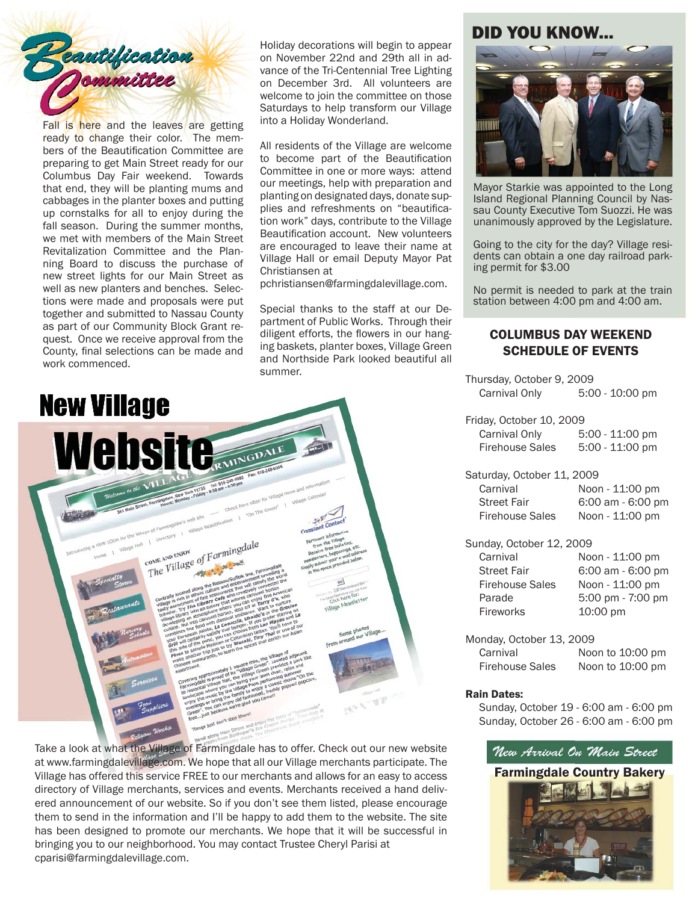

Fall is here and the leaves are getting ready to change their color. The members of the Beautification Committee are preparing to get Main Street ready for our Columbus Day Fair weekend. Towards that end, they will be planting mums and cabbages in the planter boxes and putting up cornstalks for all to enjoy during the fall season. During the summer months, we met with members of the Main Street Revitalization Committee and the Planning Board to discuss the purchase of new street lights for our Main Street as well as new planters and benches. Selections were made and proposals were put together and submitted to Nassau County as part of our Community Block Grant request. Once we receive approval from the County, final selections can be made and work commenced.

Holiday decorations will begin to appear on November 22nd and 29th all in advance of the Tri-Centennial Tree Lighting on December 3rd. All volunteers are welcome to join the committee on those Saturdays to help transform our Village into a Holiday Wonderland.

All residents of the Village are welcome to become part of the Beautification Committee in one or more ways: attend our meetings, help with preparation and planting on designated days, donate supplies and refreshments on "beautification work" days, contribute to the Village Beautification account. New volunteers are encouraged to leave their name at Village Hall or email Deputy Mayor Pat Christiansen at

pchristiansen@farmingdalevillage.com.

Special thanks to the staff at our Department of Public Works. Through their diligent efforts, the flowers in our hanging baskets, planter boxes, Village Green and Northside Park looked beautiful all summer.



Take a look at what the Village of Farmingdale has to offer. Check out our new website at www.farmingdalevillage.com. We hope that all our Village merchants participate. The Village has offered this service FREE to our merchants and allows for an easy to access directory of Village merchants, services and events. Merchants received a hand delivered announcement of our website. So if you don't see them listed, please encourage them to send in the information and I'll be happy to add them to the website. The site has been designed to promote our merchants. We hope that it will be successful in bringing you to our neighborhood. You may contact Trustee Cheryl Parisi at cparisi@farmingdalevillage.com.

#### DID YOU KNOW...



Mayor Starkie was appointed to the Long Island Regional Planning Council by Nassau County Executive Tom Suozzi. He was unanimously approved by the Legislature.

Going to the city for the day? Village residents can obtain a one day railroad parking permit for \$3.00

No permit is needed to park at the train station between 4:00 pm and 4:00 am.

#### COLUMBUS DAY WEEKEND SCHEDULE OF EVENTS

Thursday, October 9, 2009 Carnival Only 5:00 - 10:00 pm Friday, October 10, 2009

| Carnival Only          | $5:00 - 11:00$ pm |
|------------------------|-------------------|
| <b>Firehouse Sales</b> | $5:00 - 11:00$ pm |

Saturday, October 11, 2009 Carnival Noon - 11:00 pm Street Fair 6:00 am - 6:00 pm Firehouse Sales Noon - 11:00 pm

Sunday, October 12, 2009 Carnival Noon - 11:00 pm Street Fair 6:00 am - 6:00 pm Firehouse Sales Noon - 11:00 pm Parade 5:00 pm - 7:00 pm Fireworks 10:00 pm

Monday, October 13, 2009 Carnival Noon to 10:00 pm Firehouse Sales Noon to 10:00 pm

#### Rain Dates:

Sunday, October 19 - 6:00 am - 6:00 pm Sunday, October 26 - 6:00 am - 6:00 pm

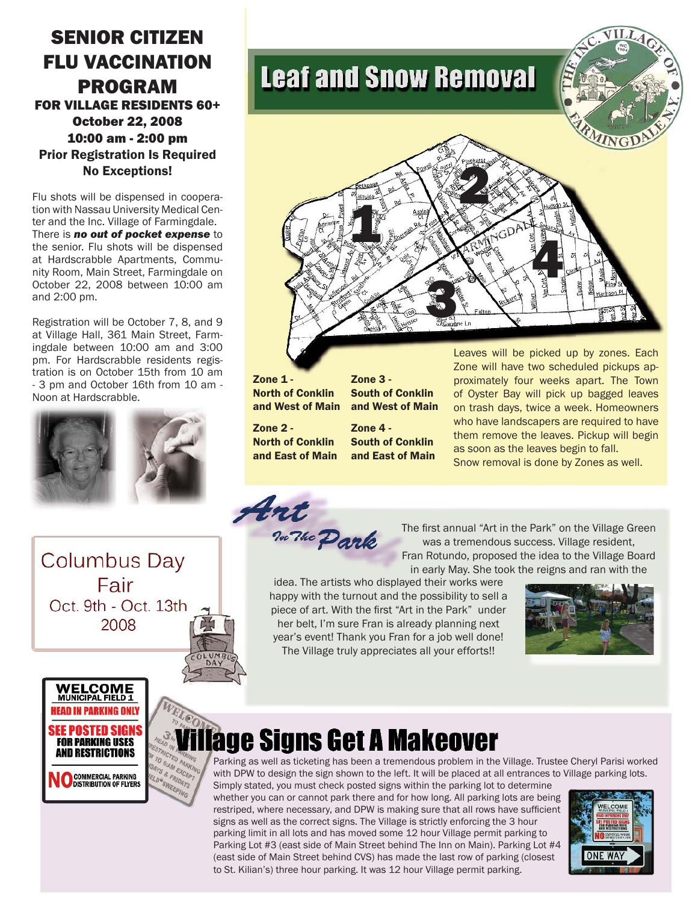### SENIOR CITIZEN FLU VACCINATION PROGRAM

FOR VILLAGE RESIDENTS 60+ October 22, 2008 10:00 am - 2:00 pm Prior Registration Is Required No Exceptions!

Flu shots will be dispensed in cooperation with Nassau University Medical Center and the Inc. Village of Farmingdale. There is *no out of pocket expense* to the senior. Flu shots will be dispensed at Hardscrabble Apartments, Community Room, Main Street, Farmingdale on October 22, 2008 between 10:00 am and 2:00 pm.

Registration will be October 7, 8, and 9 at Village Hall, 361 Main Street, Farmingdale between 10:00 am and 3:00 pm. For Hardscrabble residents registration is on October 15th from 10 am - 3 pm and October 16th from 10 am - Noon at Hardscrabble.



**Columbus Day** Fair Oct. 9th - Oct. 13th 2008

### **Leaf and Snow Removal**



Zone 1 -North of Conklin and West of Main

Zone 3 - South of Conklin

Zone 2 - North of Conklin and East of Main and West of Main Zone 4 - South of Conklin

and East of Main

Leaves will be picked up by zones. Each Zone will have two scheduled pickups approximately four weeks apart. The Town of Oyster Bay will pick up bagged leaves on trash days, twice a week. Homeowners who have landscapers are required to have them remove the leaves. Pickup will begin as soon as the leaves begin to fall. Snow removal is done by Zones as well.

Art no The Park

The first annual "Art in the Park" on the Village Green was a tremendous success. Village resident, Fran Rotundo, proposed the idea to the Village Board in early May. She took the reigns and ran with the

idea. The artists who displayed their works were happy with the turnout and the possibility to sell a piece of art. With the first "Art in the Park" under her belt, I'm sure Fran is already planning next year's event! Thank you Fran for a job well done! The Village truly appreciates all your efforts!!





### age Signs Get A Makeover

Parking as well as ticketing has been a tremendous problem in the Village. Trustee Cheryl Parisi worked with DPW to design the sign shown to the left. It will be placed at all entrances to Village parking lots.

Simply stated, you must check posted signs within the parking lot to determine whether you can or cannot park there and for how long. All parking lots are being restriped, where necessary, and DPW is making sure that all rows have sufficient signs as well as the correct signs. The Village is strictly enforcing the 3 hour parking limit in all lots and has moved some 12 hour Village permit parking to Parking Lot #3 (east side of Main Street behind The Inn on Main). Parking Lot #4 (east side of Main Street behind CVS) has made the last row of parking (closest to St. Kilian's) three hour parking. It was 12 hour Village permit parking.